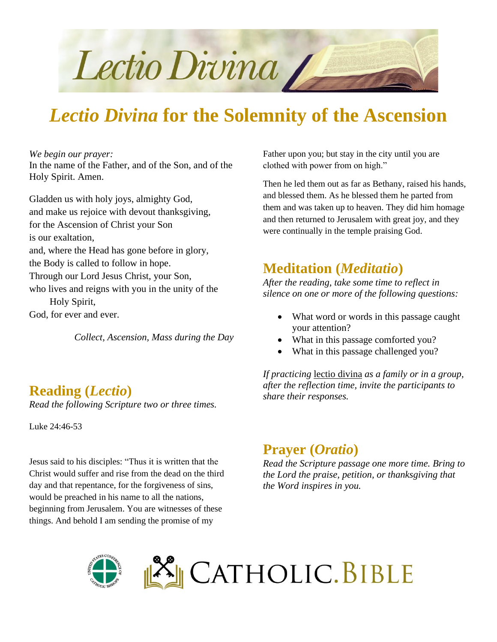

# *Lectio Divina* **for the Solemnity of the Ascension**

*We begin our prayer:*

In the name of the Father, and of the Son, and of the Holy Spirit. Amen.

Gladden us with holy joys, almighty God, and make us rejoice with devout thanksgiving, for the Ascension of Christ your Son is our exaltation, and, where the Head has gone before in glory, the Body is called to follow in hope. Through our Lord Jesus Christ, your Son, who lives and reigns with you in the unity of the Holy Spirit, God, for ever and ever.

*Collect, Ascension, Mass during the Day*

### **Reading (***Lectio***)**

*Read the following Scripture two or three times.*

Luke 24:46-53

Jesus said to his disciples: "Thus it is written that the Christ would suffer and rise from the dead on the third day and that repentance, for the forgiveness of sins, would be preached in his name to all the nations, beginning from Jerusalem. You are witnesses of these things. And behold I am sending the promise of my

Father upon you; but stay in the city until you are clothed with power from on high."

Then he led them out as far as Bethany, raised his hands, and blessed them. As he blessed them he parted from them and was taken up to heaven. They did him homage and then returned to Jerusalem with great joy, and they were continually in the temple praising God.

### **Meditation (***Meditatio***)**

*After the reading, take some time to reflect in silence on one or more of the following questions:*

- What word or words in this passage caught your attention?
- What in this passage comforted you?
- What in this passage challenged you?

*If practicing* lectio divina *as a family or in a group, after the reflection time, invite the participants to share their responses.*

# **Prayer (***Oratio***)**

*Read the Scripture passage one more time. Bring to the Lord the praise, petition, or thanksgiving that the Word inspires in you.*